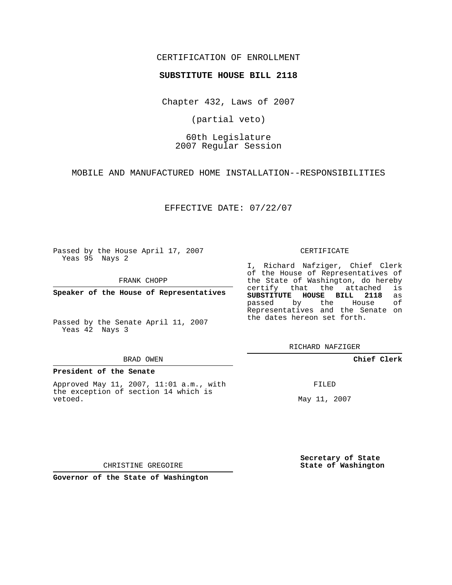## CERTIFICATION OF ENROLLMENT

### **SUBSTITUTE HOUSE BILL 2118**

Chapter 432, Laws of 2007

(partial veto)

# 60th Legislature 2007 Regular Session

MOBILE AND MANUFACTURED HOME INSTALLATION--RESPONSIBILITIES

EFFECTIVE DATE: 07/22/07

Passed by the House April 17, 2007 Yeas 95 Nays 2

FRANK CHOPP

**Speaker of the House of Representatives**

Passed by the Senate April 11, 2007 Yeas 42 Nays 3

#### BRAD OWEN

#### **President of the Senate**

Approved May 11, 2007, 11:01 a.m., with the exception of section 14 which is vetoed.

#### CERTIFICATE

I, Richard Nafziger, Chief Clerk of the House of Representatives of the State of Washington, do hereby<br>certify that the attached is certify that the attached **SUBSTITUTE HOUSE BILL 2118** as passed by the House of Representatives and the Senate on the dates hereon set forth.

RICHARD NAFZIGER

## **Chief Clerk**

FILED

May 11, 2007

**Secretary of State State of Washington**

CHRISTINE GREGOIRE

**Governor of the State of Washington**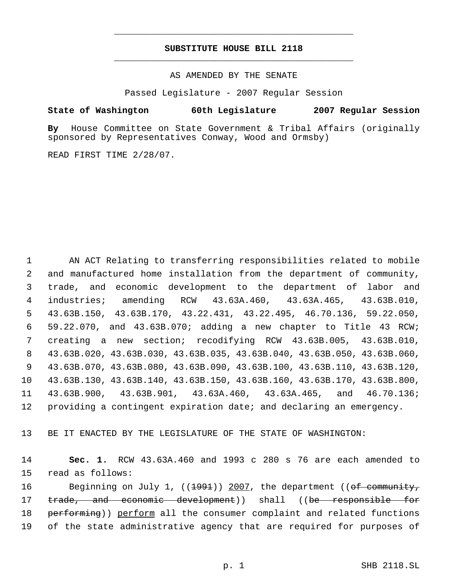# **SUBSTITUTE HOUSE BILL 2118** \_\_\_\_\_\_\_\_\_\_\_\_\_\_\_\_\_\_\_\_\_\_\_\_\_\_\_\_\_\_\_\_\_\_\_\_\_\_\_\_\_\_\_\_\_

\_\_\_\_\_\_\_\_\_\_\_\_\_\_\_\_\_\_\_\_\_\_\_\_\_\_\_\_\_\_\_\_\_\_\_\_\_\_\_\_\_\_\_\_\_

### AS AMENDED BY THE SENATE

Passed Legislature - 2007 Regular Session

## **State of Washington 60th Legislature 2007 Regular Session**

**By** House Committee on State Government & Tribal Affairs (originally sponsored by Representatives Conway, Wood and Ormsby)

READ FIRST TIME 2/28/07.

 AN ACT Relating to transferring responsibilities related to mobile and manufactured home installation from the department of community, trade, and economic development to the department of labor and industries; amending RCW 43.63A.460, 43.63A.465, 43.63B.010, 43.63B.150, 43.63B.170, 43.22.431, 43.22.495, 46.70.136, 59.22.050, 59.22.070, and 43.63B.070; adding a new chapter to Title 43 RCW; creating a new section; recodifying RCW 43.63B.005, 43.63B.010, 43.63B.020, 43.63B.030, 43.63B.035, 43.63B.040, 43.63B.050, 43.63B.060, 43.63B.070, 43.63B.080, 43.63B.090, 43.63B.100, 43.63B.110, 43.63B.120, 43.63B.130, 43.63B.140, 43.63B.150, 43.63B.160, 43.63B.170, 43.63B.800, 43.63B.900, 43.63B.901, 43.63A.460, 43.63A.465, and 46.70.136; providing a contingent expiration date; and declaring an emergency.

13 BE IT ENACTED BY THE LEGISLATURE OF THE STATE OF WASHINGTON:

14 **Sec. 1.** RCW 43.63A.460 and 1993 c 280 s 76 are each amended to 15 read as follows:

16 Beginning on July 1, ((1991)) 2007, the department ((of community, 17 trade, and economic development)) shall ((be responsible for 18 performing)) perform all the consumer complaint and related functions 19 of the state administrative agency that are required for purposes of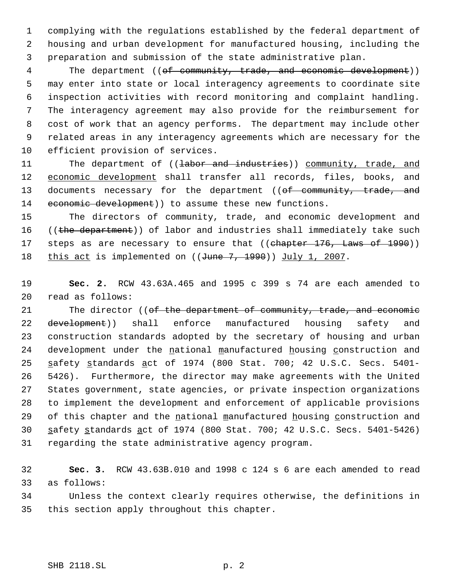1 complying with the regulations established by the federal department of 2 housing and urban development for manufactured housing, including the 3 preparation and submission of the state administrative plan.

4 The department ((of community, trade, and economic development)) may enter into state or local interagency agreements to coordinate site inspection activities with record monitoring and complaint handling. The interagency agreement may also provide for the reimbursement for cost of work that an agency performs. The department may include other related areas in any interagency agreements which are necessary for the efficient provision of services.

11 The department of ((labor and industries)) community, trade, and 12 economic development shall transfer all records, files, books, and 13 documents necessary for the department ((of community, trade, and 14 economic development) to assume these new functions.

15 The directors of community, trade, and economic development and 16 ((the department)) of labor and industries shall immediately take such 17 steps as are necessary to ensure that ((chapter 176, Laws of 1990)) 18 this act is implemented on ((June 7, 1990)) July 1, 2007.

19 **Sec. 2.** RCW 43.63A.465 and 1995 c 399 s 74 are each amended to 20 read as follows:

21 The director ((of the department of community, trade, and economic 22 <del>development</del>)) shall enforce manufactured housing safety and 23 construction standards adopted by the secretary of housing and urban 24 development under the national manufactured housing construction and 25 safety standards act of 1974 (800 Stat. 700; 42 U.S.C. Secs. 5401-26 5426). Furthermore, the director may make agreements with the United 27 States government, state agencies, or private inspection organizations 28 to implement the development and enforcement of applicable provisions 29 of this chapter and the national manufactured housing construction and 30 safety standards act of 1974 (800 Stat. 700; 42 U.S.C. Secs. 5401-5426) 31 regarding the state administrative agency program.

32 **Sec. 3.** RCW 43.63B.010 and 1998 c 124 s 6 are each amended to read 33 as follows:

34 Unless the context clearly requires otherwise, the definitions in 35 this section apply throughout this chapter.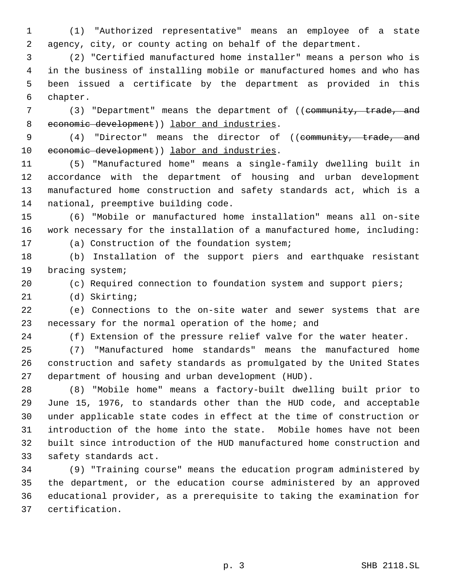(1) "Authorized representative" means an employee of a state agency, city, or county acting on behalf of the department.

 (2) "Certified manufactured home installer" means a person who is in the business of installing mobile or manufactured homes and who has been issued a certificate by the department as provided in this chapter.

7 (3) "Department" means the department of ((community, trade, and 8 economic development) ) labor and industries.

9 (4) "Director" means the director of ((community, trade, and 10 economic development) labor and industries.

 (5) "Manufactured home" means a single-family dwelling built in accordance with the department of housing and urban development manufactured home construction and safety standards act, which is a national, preemptive building code.

 (6) "Mobile or manufactured home installation" means all on-site work necessary for the installation of a manufactured home, including: (a) Construction of the foundation system;

 (b) Installation of the support piers and earthquake resistant bracing system;

(c) Required connection to foundation system and support piers;

(d) Skirting;

 (e) Connections to the on-site water and sewer systems that are necessary for the normal operation of the home; and

(f) Extension of the pressure relief valve for the water heater.

 (7) "Manufactured home standards" means the manufactured home construction and safety standards as promulgated by the United States department of housing and urban development (HUD).

 (8) "Mobile home" means a factory-built dwelling built prior to June 15, 1976, to standards other than the HUD code, and acceptable under applicable state codes in effect at the time of construction or introduction of the home into the state. Mobile homes have not been built since introduction of the HUD manufactured home construction and safety standards act.

 (9) "Training course" means the education program administered by the department, or the education course administered by an approved educational provider, as a prerequisite to taking the examination for certification.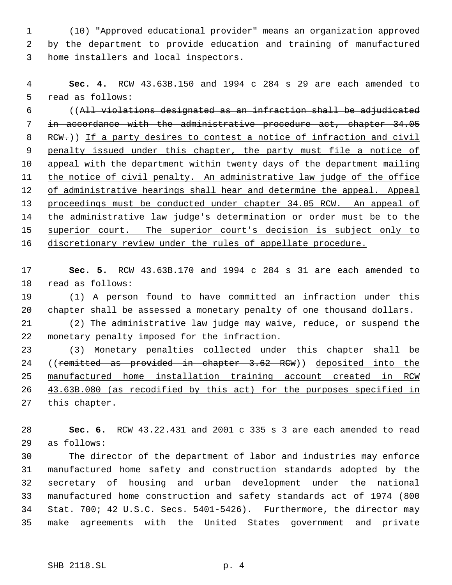(10) "Approved educational provider" means an organization approved by the department to provide education and training of manufactured home installers and local inspectors.

 **Sec. 4.** RCW 43.63B.150 and 1994 c 284 s 29 are each amended to read as follows:

 ((All violations designated as an infraction shall be adjudicated in accordance with the administrative procedure act, chapter 34.05 8 RCW.)) If a party desires to contest a notice of infraction and civil 9 penalty issued under this chapter, the party must file a notice of appeal with the department within twenty days of the department mailing 11 the notice of civil penalty. An administrative law judge of the office 12 of administrative hearings shall hear and determine the appeal. Appeal proceedings must be conducted under chapter 34.05 RCW. An appeal of 14 the administrative law judge's determination or order must be to the 15 superior court. The superior court's decision is subject only to 16 discretionary review under the rules of appellate procedure.

 **Sec. 5.** RCW 43.63B.170 and 1994 c 284 s 31 are each amended to read as follows:

 (1) A person found to have committed an infraction under this chapter shall be assessed a monetary penalty of one thousand dollars.

 (2) The administrative law judge may waive, reduce, or suspend the monetary penalty imposed for the infraction.

 (3) Monetary penalties collected under this chapter shall be 24 ((remitted as provided in chapter 3.62 RCW)) deposited into the manufactured home installation training account created in RCW 43.63B.080 (as recodified by this act) for the purposes specified in 27 this chapter.

 **Sec. 6.** RCW 43.22.431 and 2001 c 335 s 3 are each amended to read as follows:

 The director of the department of labor and industries may enforce manufactured home safety and construction standards adopted by the secretary of housing and urban development under the national manufactured home construction and safety standards act of 1974 (800 Stat. 700; 42 U.S.C. Secs. 5401-5426). Furthermore, the director may make agreements with the United States government and private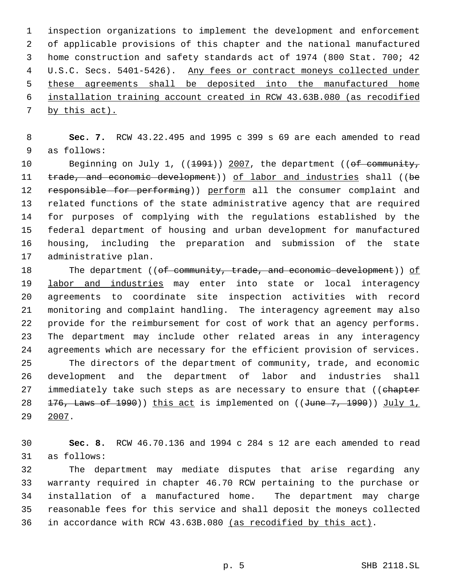inspection organizations to implement the development and enforcement of applicable provisions of this chapter and the national manufactured home construction and safety standards act of 1974 (800 Stat. 700; 42 4 U.S.C. Secs. 5401-5426). Any fees or contract moneys collected under these agreements shall be deposited into the manufactured home installation training account created in RCW 43.63B.080 (as recodified 7 by this act).

 **Sec. 7.** RCW 43.22.495 and 1995 c 399 s 69 are each amended to read as follows:

10 Beginning on July 1, ((1991)) 2007, the department ((of community, 11 trade, and economic development)) of labor and industries shall ((be 12 responsible for performing)) perform all the consumer complaint and related functions of the state administrative agency that are required for purposes of complying with the regulations established by the federal department of housing and urban development for manufactured housing, including the preparation and submission of the state administrative plan.

18 The department ((of community, trade, and economic development)) of 19 labor and industries may enter into state or local interagency agreements to coordinate site inspection activities with record monitoring and complaint handling. The interagency agreement may also provide for the reimbursement for cost of work that an agency performs. The department may include other related areas in any interagency agreements which are necessary for the efficient provision of services. The directors of the department of community, trade, and economic development and the department of labor and industries shall 27 immediately take such steps as are necessary to ensure that ((chapter  $\frac{176}{1000}$ , Laws of 1990)) this act is implemented on ((June 7, 1990)) July 1, 2007.

 **Sec. 8.** RCW 46.70.136 and 1994 c 284 s 12 are each amended to read as follows:

 The department may mediate disputes that arise regarding any warranty required in chapter 46.70 RCW pertaining to the purchase or installation of a manufactured home. The department may charge reasonable fees for this service and shall deposit the moneys collected in accordance with RCW 43.63B.080 (as recodified by this act).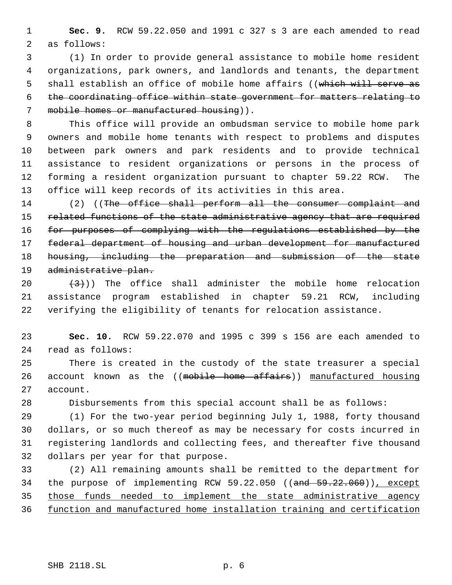**Sec. 9.** RCW 59.22.050 and 1991 c 327 s 3 are each amended to read as follows:

 (1) In order to provide general assistance to mobile home resident organizations, park owners, and landlords and tenants, the department 5 shall establish an office of mobile home affairs ((which will serve as the coordinating office within state government for matters relating to 7 mobile homes or manufactured housing)).

 This office will provide an ombudsman service to mobile home park owners and mobile home tenants with respect to problems and disputes between park owners and park residents and to provide technical assistance to resident organizations or persons in the process of forming a resident organization pursuant to chapter 59.22 RCW. The office will keep records of its activities in this area.

14 (2) ((The office shall perform all the consumer complaint and 15 related functions of the state administrative agency that are required 16 for purposes of complying with the regulations established by the federal department of housing and urban development for manufactured housing, including the preparation and submission of the state administrative plan.

20  $(3)$ )) The office shall administer the mobile home relocation assistance program established in chapter 59.21 RCW, including verifying the eligibility of tenants for relocation assistance.

 **Sec. 10.** RCW 59.22.070 and 1995 c 399 s 156 are each amended to read as follows:

 There is created in the custody of the state treasurer a special 26 account known as the ((mobile home affairs)) manufactured housing account.

Disbursements from this special account shall be as follows:

 (1) For the two-year period beginning July 1, 1988, forty thousand dollars, or so much thereof as may be necessary for costs incurred in registering landlords and collecting fees, and thereafter five thousand dollars per year for that purpose.

 (2) All remaining amounts shall be remitted to the department for 34 the purpose of implementing RCW 59.22.050 ((and 59.22.060)), except those funds needed to implement the state administrative agency function and manufactured home installation training and certification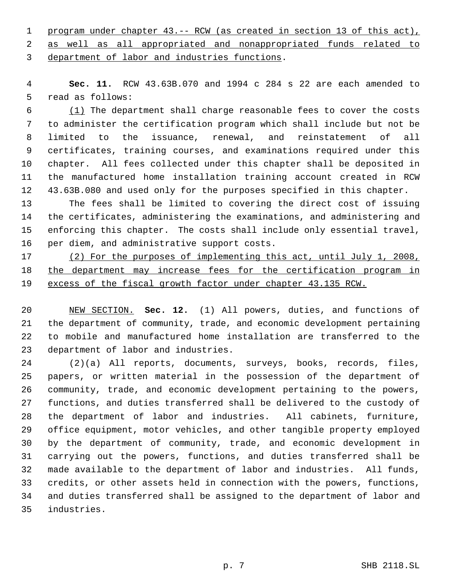program under chapter 43.-- RCW (as created in section 13 of this act), as well as all appropriated and nonappropriated funds related to

department of labor and industries functions.

 **Sec. 11.** RCW 43.63B.070 and 1994 c 284 s 22 are each amended to read as follows:

 (1) The department shall charge reasonable fees to cover the costs to administer the certification program which shall include but not be limited to the issuance, renewal, and reinstatement of all certificates, training courses, and examinations required under this chapter. All fees collected under this chapter shall be deposited in the manufactured home installation training account created in RCW 43.63B.080 and used only for the purposes specified in this chapter.

 The fees shall be limited to covering the direct cost of issuing the certificates, administering the examinations, and administering and enforcing this chapter. The costs shall include only essential travel, per diem, and administrative support costs.

 (2) For the purposes of implementing this act, until July 1, 2008, the department may increase fees for the certification program in 19 excess of the fiscal growth factor under chapter 43.135 RCW.

 NEW SECTION. **Sec. 12.** (1) All powers, duties, and functions of the department of community, trade, and economic development pertaining to mobile and manufactured home installation are transferred to the department of labor and industries.

 (2)(a) All reports, documents, surveys, books, records, files, papers, or written material in the possession of the department of community, trade, and economic development pertaining to the powers, functions, and duties transferred shall be delivered to the custody of the department of labor and industries. All cabinets, furniture, office equipment, motor vehicles, and other tangible property employed by the department of community, trade, and economic development in carrying out the powers, functions, and duties transferred shall be made available to the department of labor and industries. All funds, credits, or other assets held in connection with the powers, functions, and duties transferred shall be assigned to the department of labor and industries.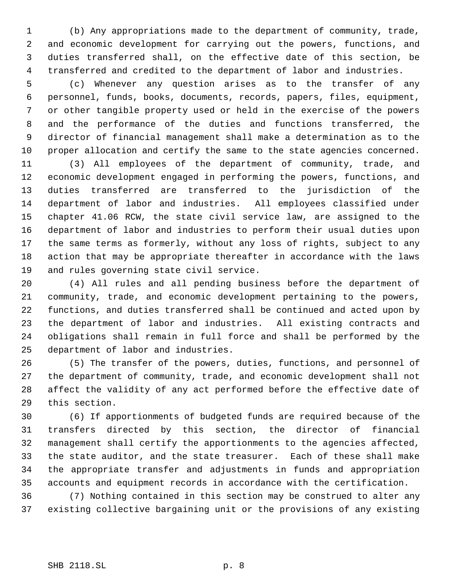(b) Any appropriations made to the department of community, trade, and economic development for carrying out the powers, functions, and duties transferred shall, on the effective date of this section, be transferred and credited to the department of labor and industries.

 (c) Whenever any question arises as to the transfer of any personnel, funds, books, documents, records, papers, files, equipment, or other tangible property used or held in the exercise of the powers and the performance of the duties and functions transferred, the director of financial management shall make a determination as to the proper allocation and certify the same to the state agencies concerned.

 (3) All employees of the department of community, trade, and economic development engaged in performing the powers, functions, and duties transferred are transferred to the jurisdiction of the department of labor and industries. All employees classified under chapter 41.06 RCW, the state civil service law, are assigned to the department of labor and industries to perform their usual duties upon the same terms as formerly, without any loss of rights, subject to any action that may be appropriate thereafter in accordance with the laws and rules governing state civil service.

 (4) All rules and all pending business before the department of community, trade, and economic development pertaining to the powers, functions, and duties transferred shall be continued and acted upon by the department of labor and industries. All existing contracts and obligations shall remain in full force and shall be performed by the department of labor and industries.

 (5) The transfer of the powers, duties, functions, and personnel of the department of community, trade, and economic development shall not affect the validity of any act performed before the effective date of this section.

 (6) If apportionments of budgeted funds are required because of the transfers directed by this section, the director of financial management shall certify the apportionments to the agencies affected, the state auditor, and the state treasurer. Each of these shall make the appropriate transfer and adjustments in funds and appropriation accounts and equipment records in accordance with the certification.

 (7) Nothing contained in this section may be construed to alter any existing collective bargaining unit or the provisions of any existing